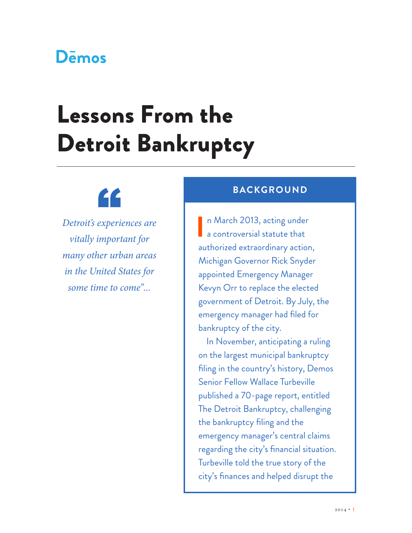## Demos

# Lessons From the Detroit Bankruptcy



*Detroit's experiences are vitally important for many other urban areas in the United States for some time to come"...*

**I** n March 2013, acting under a controversial statute that authorized extraordinary action, Michigan Governor Rick Snyder appointed Emergency Manager Kevyn Orr to replace the elected government of Detroit. By July, the emergency manager had filed for bankruptcy of the city. **BACKGROUND**<br>
Experiences are<br> **Experiences** are<br> **Experiences** are<br> **Experiences** are<br> **Experiences** are

> In November, anticipating a ruling on the largest municipal bankruptcy filing in the country's history, Demos Senior Fellow Wallace Turbeville published a 70-page report, entitled [The Detroit Bankruptcy,](http://www.demos.org/publication/detroit-bankruptcy) challenging the bankruptcy filing and the emergency manager's central claims regarding the city's financial situation. Turbeville told the true story of the city's finances and helped disrupt the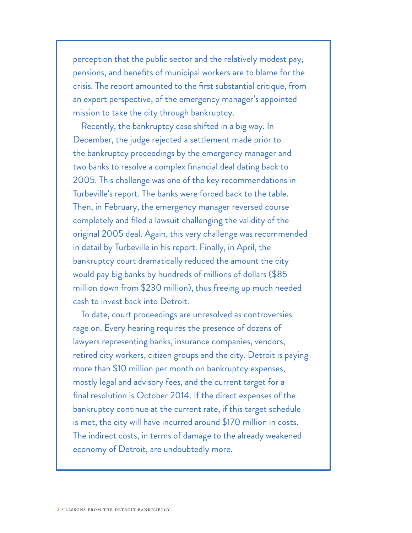perception that the public sector and the relatively modest pay, pensions, and benefits of municipal workers are to blame for the crisis. The report amounted to the first substantial critique, from an expert perspective, of the emergency manager's appointed mission to take the city through bankruptcy.

Recently, the bankruptcy case shifted in a big way. In December, the [judge rejected a settlement](http://www.demos.org/press-release/demos-applauds-judge-rhodes%E2%80%99-decision-reject-detroit%E2%80%99s-proposal-exit-swaps-deal) made prior to the bankruptcy proceedings by the emergency manager and two banks to resolve a complex financial deal dating back to 2005. This challenge was one of the key recommendations in Turbeville's report. The banks were forced back to the table. Then, in February, the emergency manager reversed course completely and filed a lawsuit challenging the validity of the original 2005 deal. Again, [this very challenge was recommended](http://www.demos.org/blog/2/4/14/something-big-just-happened-detroits-bankruptcy-case)  [in detail by Turbeville in his report](http://www.demos.org/blog/2/4/14/something-big-just-happened-detroits-bankruptcy-case). Finally, in April, the bankruptcy court dramatically reduced the amount the city would pay big banks by hundreds of millions of dollars (\$85 million down from \$230 million), thus freeing up much needed cash to invest back into Detroit.

To date, court proceedings are unresolved as controversies rage on. Every hearing requires the presence of dozens of lawyers representing banks, insurance companies, vendors, retired city workers, citizen groups and the city. Detroit is paying more than \$10 million per month on bankruptcy expenses, mostly legal and advisory fees, and the current target for a final resolution is October 2014. If the direct expenses of the bankruptcy continue at the current rate, if this target schedule is met, the city will have incurred around \$170 million in costs. The indirect costs, in terms of damage to the already weakened economy of Detroit, are undoubtedly more.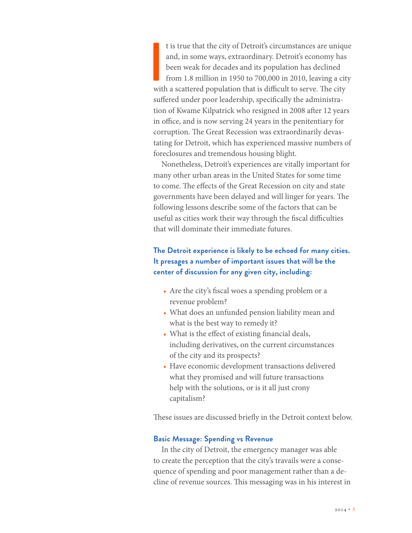t is true that the city of Detroit's circumstances are unique and, in some ways, extraordinary. Detroit's economy has been weak for decades and its population has declined from 1.8 million in 1950 to 700,000 in 2010, leavi t is true that the city of Detroit's circumstances are unique and, in some ways, extraordinary. Detroit's economy has been weak for decades and its population has declined from 1.8 million in 1950 to 700,000 in 2010, leaving a city suffered under poor leadership, specifically the administration of Kwame Kilpatrick who resigned in 2008 after 12 years in office, and is now serving 24 years in the penitentiary for corruption. The Great Recession was extraordinarily devastating for Detroit, which has experienced massive numbers of foreclosures and tremendous housing blight.

Nonetheless, Detroit's experiences are vitally important for many other urban areas in the United States for some time to come. The effects of the Great Recession on city and state governments have been delayed and will linger for years. The following lessons describe some of the factors that can be useful as cities work their way through the fiscal difficulties that will dominate their immediate futures.

### **The Detroit experience is likely to be echoed for many cities. It presages a number of important issues that will be the center of discussion for any given city, including:**

- Are the city's fiscal woes a spending problem or a revenue problem?
- What does an unfunded pension liability mean and what is the best way to remedy it?
- What is the effect of existing financial deals, including derivatives, on the current circumstances of the city and its prospects?
- Have economic development transactions delivered what they promised and will future transactions help with the solutions, or is it all just crony capitalism?

These issues are discussed briefly in the Detroit context below.

#### **Basic Message: Spending vs Revenue**

In the city of Detroit, the emergency manager was able to create the perception that the city's travails were a consequence of spending and poor management rather than a decline of revenue sources. This messaging was in his interest in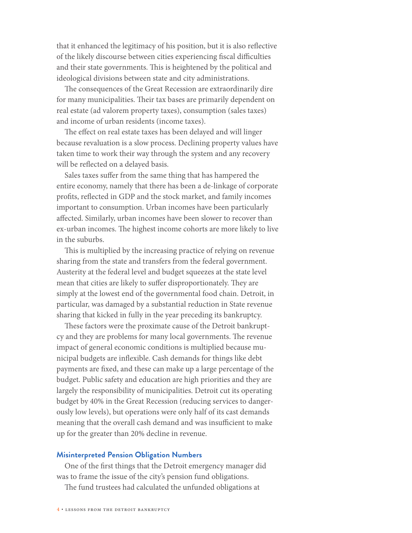that it enhanced the legitimacy of his position, but it is also reflective of the likely discourse between cities experiencing fiscal difficulties and their state governments. This is heightened by the political and ideological divisions between state and city administrations.

The consequences of the Great Recession are extraordinarily dire for many municipalities. Their tax bases are primarily dependent on real estate (ad valorem property taxes), consumption (sales taxes) and income of urban residents (income taxes).

The effect on real estate taxes has been delayed and will linger because revaluation is a slow process. Declining property values have taken time to work their way through the system and any recovery will be reflected on a delayed basis.

Sales taxes suffer from the same thing that has hampered the entire economy, namely that there has been a de-linkage of corporate profits, reflected in GDP and the stock market, and family incomes important to consumption. Urban incomes have been particularly affected. Similarly, urban incomes have been slower to recover than ex-urban incomes. The highest income cohorts are more likely to live in the suburbs.

This is multiplied by the increasing practice of relying on revenue sharing from the state and transfers from the federal government. Austerity at the federal level and budget squeezes at the state level mean that cities are likely to suffer disproportionately. They are simply at the lowest end of the governmental food chain. Detroit, in particular, was damaged by a substantial reduction in State revenue sharing that kicked in fully in the year preceding its bankruptcy.

These factors were the proximate cause of the Detroit bankruptcy and they are problems for many local governments. The revenue impact of general economic conditions is multiplied because municipal budgets are inflexible. Cash demands for things like debt payments are fixed, and these can make up a large percentage of the budget. Public safety and education are high priorities and they are largely the responsibility of municipalities. Detroit cut its operating budget by 40% in the Great Recession (reducing services to dangerously low levels), but operations were only half of its cast demands meaning that the overall cash demand and was insufficient to make up for the greater than 20% decline in revenue.

#### **Misinterpreted Pension Obligation Numbers**

One of the first things that the Detroit emergency manager did was to frame the issue of the city's pension fund obligations.

The fund trustees had calculated the unfunded obligations at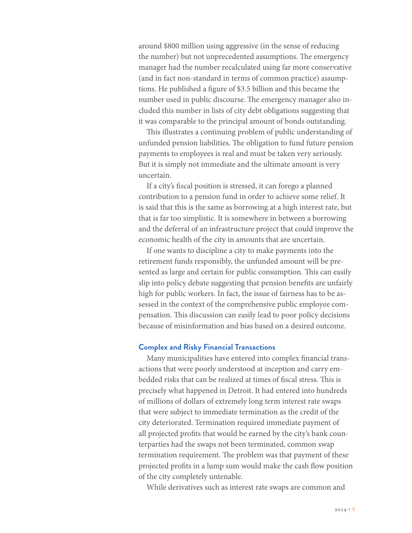around \$800 million using aggressive (in the sense of reducing the number) but not unprecedented assumptions. The emergency manager had the number recalculated using far more conservative (and in fact non-standard in terms of common practice) assumptions. He published a figure of \$3.5 billion and this became the number used in public discourse. The emergency manager also included this number in lists of city debt obligations suggesting that it was comparable to the principal amount of bonds outstanding.

This illustrates a continuing problem of public understanding of unfunded pension liabilities. The obligation to fund future pension payments to employees is real and must be taken very seriously. But it is simply not immediate and the ultimate amount is very uncertain.

If a city's fiscal position is stressed, it can forego a planned contribution to a pension fund in order to achieve some relief. It is said that this is the same as borrowing at a high interest rate, but that is far too simplistic. It is somewhere in between a borrowing and the deferral of an infrastructure project that could improve the economic health of the city in amounts that are uncertain.

If one wants to discipline a city to make payments into the retirement funds responsibly, the unfunded amount will be presented as large and certain for public consumption. This can easily slip into policy debate suggesting that pension benefits are unfairly high for public workers. In fact, the issue of fairness has to be assessed in the context of the comprehensive public employee compensation. This discussion can easily lead to poor policy decisions because of misinformation and bias based on a desired outcome.

#### **Complex and Risky Financial Transactions**

Many municipalities have entered into complex financial transactions that were poorly understood at inception and carry embedded risks that can be realized at times of fiscal stress. This is precisely what happened in Detroit. It had entered into hundreds of millions of dollars of extremely long term interest rate swaps that were subject to immediate termination as the credit of the city deteriorated. Termination required immediate payment of all projected profits that would be earned by the city's bank counterparties had the swaps not been terminated, common swap termination requirement. The problem was that payment of these projected profits in a lump sum would make the cash flow position of the city completely untenable.

While derivatives such as interest rate swaps are common and